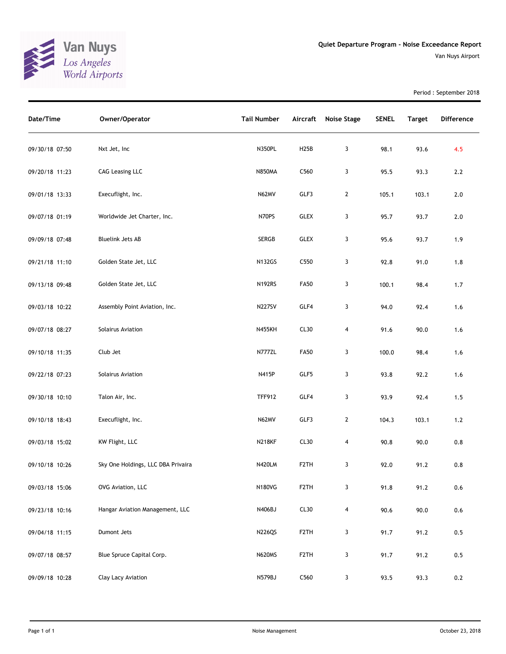

Period : September 2018

| Date/Time      | Owner/Operator                     | <b>Tail Number</b> | Aircraft          | <b>Noise Stage</b> | <b>SENEL</b> | <b>Target</b> | Difference |
|----------------|------------------------------------|--------------------|-------------------|--------------------|--------------|---------------|------------|
| 09/30/18 07:50 | Nxt Jet, Inc                       | N350PL             | H <sub>25</sub> B | 3                  | 98.1         | 93.6          | 4.5        |
| 09/20/18 11:23 | <b>CAG Leasing LLC</b>             | <b>N850MA</b>      | C560              | 3                  | 95.5         | 93.3          | 2.2        |
| 09/01/18 13:33 | Execuflight, Inc.                  | N62MV              | GLF3              | $\mathbf{2}$       | 105.1        | 103.1         | $2.0$      |
| 09/07/18 01:19 | Worldwide Jet Charter, Inc.        | N70PS              | <b>GLEX</b>       | 3                  | 95.7         | 93.7          | $2.0$      |
| 09/09/18 07:48 | <b>Bluelink Jets AB</b>            | SERGB              | <b>GLEX</b>       | 3                  | 95.6         | 93.7          | 1.9        |
| 09/21/18 11:10 | Golden State Jet, LLC              | <b>N132GS</b>      | C550              | 3                  | 92.8         | 91.0          | 1.8        |
| 09/13/18 09:48 | Golden State Jet, LLC              | <b>N192RS</b>      | <b>FA50</b>       | 3                  | 100.1        | 98.4          | 1.7        |
| 09/03/18 10:22 | Assembly Point Aviation, Inc.      | <b>N227SV</b>      | GLF4              | 3                  | 94.0         | 92.4          | 1.6        |
| 09/07/18 08:27 | Solairus Aviation                  | <b>N455KH</b>      | CL30              | 4                  | 91.6         | 90.0          | 1.6        |
| 09/10/18 11:35 | Club Jet                           | N777ZL             | <b>FA50</b>       | 3                  | 100.0        | 98.4          | 1.6        |
| 09/22/18 07:23 | Solairus Aviation                  | N415P              | GLF5              | 3                  | 93.8         | 92.2          | 1.6        |
| 09/30/18 10:10 | Talon Air, Inc.                    | <b>TFF912</b>      | GLF4              | 3                  | 93.9         | 92.4          | 1.5        |
| 09/10/18 18:43 | Execuflight, Inc.                  | N62MV              | GLF3              | $\mathbf{2}$       | 104.3        | 103.1         | 1.2        |
| 09/03/18 15:02 | KW Flight, LLC                     | <b>N218KF</b>      | CL30              | 4                  | 90.8         | 90.0          | 0.8        |
| 09/10/18 10:26 | Sky One Holdings, LLC DBA Privaira | N420LM             | F <sub>2</sub> TH | 3                  | 92.0         | 91.2          | 0.8        |
| 09/03/18 15:06 | OVG Aviation, LLC                  | <b>N180VG</b>      | F2TH              | 3                  | 91.8         | 91.2          | 0.6        |
| 09/23/18 10:16 | Hangar Aviation Management, LLC    | N406BJ             | CL30              | 4                  | 90.6         | 90.0          | $0.6\,$    |
| 09/04/18 11:15 | Dumont Jets                        | <b>N226QS</b>      | F <sub>2</sub> TH | 3                  | 91.7         | 91.2          | 0.5        |
| 09/07/18 08:57 | Blue Spruce Capital Corp.          | <b>N620MS</b>      | F <sub>2</sub> TH | 3                  | 91.7         | 91.2          | 0.5        |
| 09/09/18 10:28 | Clay Lacy Aviation                 | N579BJ             | C560              | 3                  | 93.5         | 93.3          | 0.2        |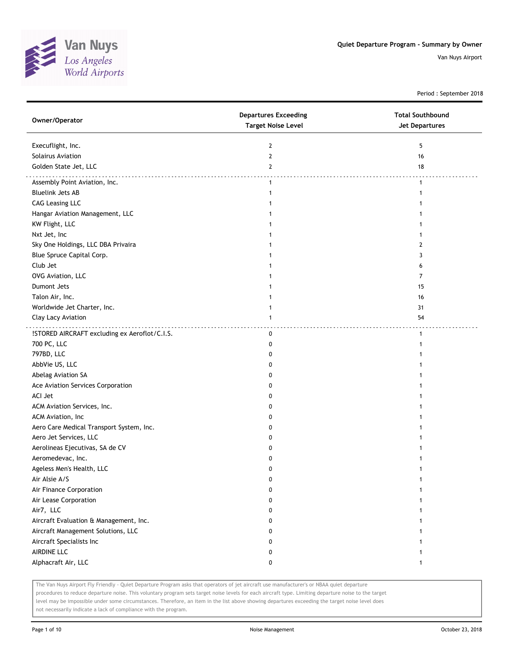

Period : September 2018

| Owner/Operator                                | <b>Departures Exceeding</b><br><b>Target Noise Level</b> | <b>Total Southbound</b><br>Jet Departures |
|-----------------------------------------------|----------------------------------------------------------|-------------------------------------------|
| Execuflight, Inc.                             | $\mathbf{2}$                                             | 5                                         |
| Solairus Aviation                             | $\mathbf{2}$                                             | 16                                        |
| Golden State Jet, LLC                         | 2                                                        | 18                                        |
| Assembly Point Aviation, Inc.                 | $\mathbf{1}$                                             | $\mathbf{1}$                              |
| <b>Bluelink Jets AB</b>                       | $\mathbf{1}$                                             | 1                                         |
| <b>CAG Leasing LLC</b>                        | 1                                                        |                                           |
| Hangar Aviation Management, LLC               | 1                                                        |                                           |
| KW Flight, LLC                                |                                                          |                                           |
| Nxt Jet, Inc                                  |                                                          |                                           |
| Sky One Holdings, LLC DBA Privaira            |                                                          | 2                                         |
| Blue Spruce Capital Corp.                     |                                                          | 3                                         |
| Club Jet                                      |                                                          | 6                                         |
| OVG Aviation, LLC                             |                                                          | 7                                         |
| Dumont Jets                                   | 1                                                        | 15                                        |
| Talon Air, Inc.                               | 1                                                        | 16                                        |
| Worldwide Jet Charter, Inc.                   | 1                                                        | 31                                        |
| Clay Lacy Aviation                            | $\mathbf{1}$                                             | 54                                        |
|                                               |                                                          |                                           |
| !STORED AIRCRAFT excluding ex Aeroflot/C.I.S. | 0                                                        | $\mathbf{1}$                              |
| 700 PC, LLC                                   | 0                                                        |                                           |
| 797BD, LLC                                    | 0                                                        |                                           |
| AbbVie US, LLC                                | 0                                                        |                                           |
| Abelag Aviation SA                            | 0                                                        |                                           |
| Ace Aviation Services Corporation             | 0                                                        |                                           |
| ACI Jet                                       | 0                                                        |                                           |
| ACM Aviation Services, Inc.                   | 0                                                        |                                           |
| ACM Aviation, Inc                             | 0                                                        |                                           |
| Aero Care Medical Transport System, Inc.      | 0                                                        |                                           |
| Aero Jet Services, LLC                        | 0                                                        |                                           |
| Aerolineas Ejecutivas, SA de CV               | 0                                                        |                                           |
| Aeromedevac, Inc.                             | 0                                                        |                                           |
| Ageless Men's Health, LLC                     | 0                                                        |                                           |
| Air Alsie A/S                                 | 0                                                        | 1                                         |
| Air Finance Corporation                       | 0                                                        |                                           |
| Air Lease Corporation                         | 0                                                        |                                           |
| Air7, LLC                                     | 0                                                        |                                           |
| Aircraft Evaluation & Management, Inc.        | 0                                                        |                                           |
| Aircraft Management Solutions, LLC            | 0                                                        |                                           |
| Aircraft Specialists Inc                      | 0                                                        |                                           |
| AIRDINE LLC                                   | 0                                                        |                                           |
| Alphacraft Air, LLC                           | 0                                                        | 1                                         |

The Van Nuys Airport Fly Friendly - Quiet Departure Program asks that operators of jet aircraft use manufacturer's or NBAA quiet departure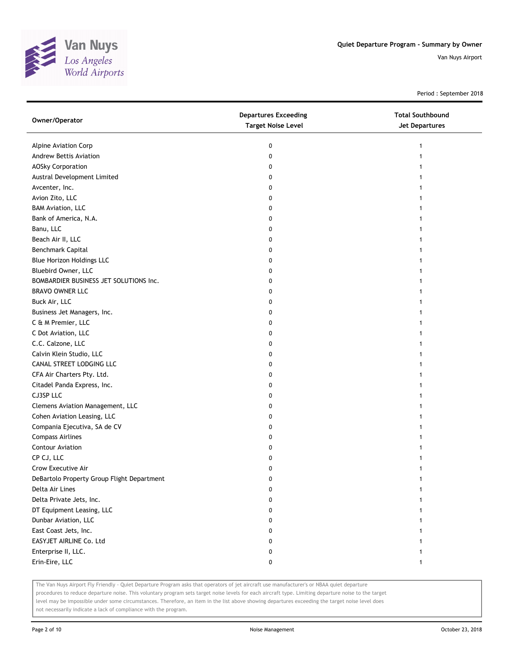

Period : September 2018

| Owner/Operator                             | <b>Departures Exceeding</b><br><b>Target Noise Level</b> | <b>Total Southbound</b><br><b>Jet Departures</b> |
|--------------------------------------------|----------------------------------------------------------|--------------------------------------------------|
| Alpine Aviation Corp                       | 0                                                        | $\mathbf{1}$                                     |
| Andrew Bettis Aviation                     | 0                                                        | 1                                                |
| <b>AOSky Corporation</b>                   | 0                                                        | 1                                                |
| Austral Development Limited                | 0                                                        |                                                  |
| Avcenter, Inc.                             | 0                                                        | 1                                                |
| Avion Zito, LLC                            | 0                                                        | 1                                                |
| <b>BAM Aviation, LLC</b>                   | 0                                                        | 1                                                |
| Bank of America, N.A.                      | 0                                                        |                                                  |
| Banu, LLC                                  | 0                                                        |                                                  |
| Beach Air II, LLC                          | 0                                                        |                                                  |
| Benchmark Capital                          | 0                                                        |                                                  |
| <b>Blue Horizon Holdings LLC</b>           | 0                                                        |                                                  |
| Bluebird Owner, LLC                        | 0                                                        |                                                  |
| BOMBARDIER BUSINESS JET SOLUTIONS Inc.     | 0                                                        |                                                  |
| <b>BRAVO OWNER LLC</b>                     | 0                                                        |                                                  |
| Buck Air, LLC                              | 0                                                        | 1                                                |
| Business Jet Managers, Inc.                | 0                                                        | 1                                                |
| C & M Premier, LLC                         | 0                                                        |                                                  |
| C Dot Aviation, LLC                        | 0                                                        |                                                  |
| C.C. Calzone, LLC                          | 0                                                        |                                                  |
| Calvin Klein Studio, LLC                   | 0                                                        |                                                  |
| CANAL STREET LODGING LLC                   | 0                                                        |                                                  |
| CFA Air Charters Pty. Ltd.                 | 0                                                        |                                                  |
| Citadel Panda Express, Inc.                | 0                                                        |                                                  |
| CJ3SP LLC                                  | 0                                                        |                                                  |
| Clemens Aviation Management, LLC           | 0                                                        |                                                  |
| Cohen Aviation Leasing, LLC                | 0                                                        |                                                  |
| Compania Ejecutiva, SA de CV               | 0                                                        |                                                  |
| <b>Compass Airlines</b>                    | 0                                                        |                                                  |
| <b>Contour Aviation</b>                    | 0                                                        |                                                  |
| CP CJ, LLC                                 | 0                                                        |                                                  |
| Crow Executive Air                         | 0                                                        | 1                                                |
| DeBartolo Property Group Flight Department | 0                                                        |                                                  |
| Delta Air Lines                            | 0                                                        |                                                  |
| Delta Private Jets, Inc.                   | 0                                                        |                                                  |
| DT Equipment Leasing, LLC                  | 0                                                        |                                                  |
| Dunbar Aviation, LLC                       | 0                                                        |                                                  |
| East Coast Jets, Inc.                      | 0                                                        |                                                  |
| EASYJET AIRLINE Co. Ltd                    | 0                                                        |                                                  |
| Enterprise II, LLC.                        | 0                                                        |                                                  |
| Erin-Eire, LLC                             | 0                                                        | 1                                                |

The Van Nuys Airport Fly Friendly - Quiet Departure Program asks that operators of jet aircraft use manufacturer's or NBAA quiet departure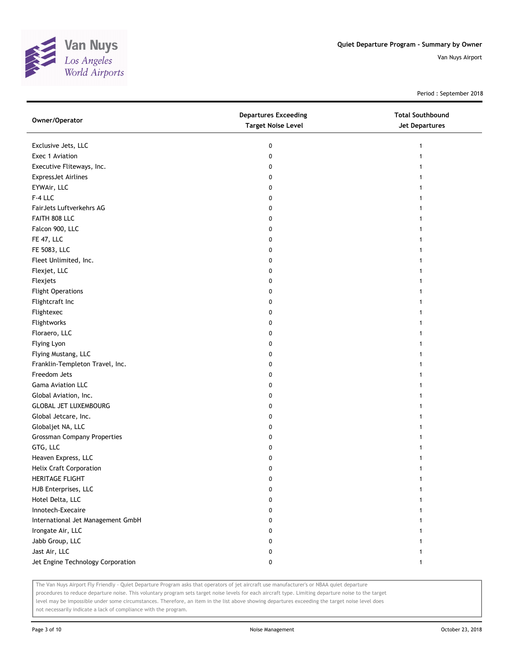

Period : September 2018

| Owner/Operator                     | <b>Departures Exceeding</b><br><b>Target Noise Level</b> | <b>Total Southbound</b><br>Jet Departures |
|------------------------------------|----------------------------------------------------------|-------------------------------------------|
| Exclusive Jets, LLC                | 0                                                        | 1                                         |
| Exec 1 Aviation                    | 0                                                        | 1                                         |
| Executive Fliteways, Inc.          | 0                                                        |                                           |
| <b>ExpressJet Airlines</b>         | 0                                                        |                                           |
| EYWAir, LLC                        | 0                                                        |                                           |
| F-4 LLC                            | 0                                                        | 1                                         |
| FairJets Luftverkehrs AG           | 0                                                        | 1                                         |
| FAITH 808 LLC                      | 0                                                        | 1                                         |
| Falcon 900, LLC                    | 0                                                        |                                           |
| FE 47, LLC                         | 0                                                        |                                           |
| FE 5083, LLC                       | 0                                                        |                                           |
| Fleet Unlimited, Inc.              | 0                                                        |                                           |
| Flexjet, LLC                       | 0                                                        |                                           |
| Flexjets                           | 0                                                        |                                           |
| <b>Flight Operations</b>           | 0                                                        |                                           |
| Flightcraft Inc                    | 0                                                        | 1                                         |
| Flightexec                         | 0                                                        |                                           |
| Flightworks                        | 0                                                        |                                           |
| Floraero, LLC                      | 0                                                        |                                           |
| Flying Lyon                        | 0                                                        |                                           |
| Flying Mustang, LLC                | 0                                                        |                                           |
| Franklin-Templeton Travel, Inc.    | 0                                                        |                                           |
| Freedom Jets                       | 0                                                        |                                           |
| Gama Aviation LLC                  | 0                                                        |                                           |
| Global Aviation, Inc.              | 0                                                        |                                           |
| <b>GLOBAL JET LUXEMBOURG</b>       | 0                                                        | 1                                         |
| Global Jetcare, Inc.               | 0                                                        | 1                                         |
| Globaljet NA, LLC                  | 0                                                        |                                           |
| <b>Grossman Company Properties</b> | 0                                                        |                                           |
| GTG, LLC                           | 0                                                        |                                           |
| Heaven Express, LLC                | 0                                                        |                                           |
| <b>Helix Craft Corporation</b>     | 0                                                        |                                           |
| HERITAGE FLIGHT                    | 0                                                        | 1                                         |
| HJB Enterprises, LLC               | 0                                                        |                                           |
| Hotel Delta, LLC                   | 0                                                        |                                           |
| Innotech-Execaire                  | 0                                                        | 1                                         |
| International Jet Management GmbH  | 0                                                        |                                           |
| Irongate Air, LLC                  | 0                                                        |                                           |
| Jabb Group, LLC                    | 0                                                        |                                           |
| Jast Air, LLC                      | 0                                                        |                                           |
| Jet Engine Technology Corporation  | 0                                                        | $\mathbf{1}$                              |

The Van Nuys Airport Fly Friendly - Quiet Departure Program asks that operators of jet aircraft use manufacturer's or NBAA quiet departure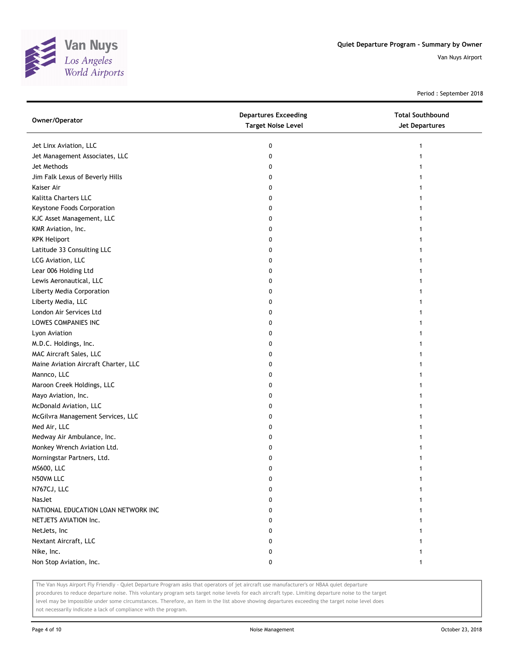

Period : September 2018

| Owner/Operator                       | <b>Departures Exceeding</b><br><b>Target Noise Level</b> | <b>Total Southbound</b><br><b>Jet Departures</b> |
|--------------------------------------|----------------------------------------------------------|--------------------------------------------------|
| Jet Linx Aviation, LLC               | 0                                                        |                                                  |
| Jet Management Associates, LLC       | 0                                                        |                                                  |
| Jet Methods                          | 0                                                        |                                                  |
| Jim Falk Lexus of Beverly Hills      | 0                                                        |                                                  |
| Kaiser Air                           | 0                                                        |                                                  |
| Kalitta Charters LLC                 | 0                                                        |                                                  |
| Keystone Foods Corporation           | 0                                                        |                                                  |
| KJC Asset Management, LLC            | 0                                                        |                                                  |
| KMR Aviation, Inc.                   | 0                                                        |                                                  |
| <b>KPK Heliport</b>                  | 0                                                        |                                                  |
| Latitude 33 Consulting LLC           | 0                                                        |                                                  |
| LCG Aviation, LLC                    | 0                                                        |                                                  |
| Lear 006 Holding Ltd                 | 0                                                        |                                                  |
| Lewis Aeronautical, LLC              | 0                                                        |                                                  |
| Liberty Media Corporation            | 0                                                        |                                                  |
| Liberty Media, LLC                   | 0                                                        |                                                  |
| London Air Services Ltd              | 0                                                        |                                                  |
| LOWES COMPANIES INC                  | 0                                                        |                                                  |
| Lyon Aviation                        | 0                                                        |                                                  |
| M.D.C. Holdings, Inc.                | 0                                                        |                                                  |
| MAC Aircraft Sales, LLC              | 0                                                        |                                                  |
| Maine Aviation Aircraft Charter, LLC | 0                                                        |                                                  |
| Mannco, LLC                          | 0                                                        |                                                  |
| Maroon Creek Holdings, LLC           | 0                                                        |                                                  |
| Mayo Aviation, Inc.                  | 0                                                        |                                                  |
| McDonald Aviation, LLC               | 0                                                        |                                                  |
| McGilvra Management Services, LLC    | 0                                                        |                                                  |
| Med Air, LLC                         | 0                                                        |                                                  |
| Medway Air Ambulance, Inc.           | 0                                                        |                                                  |
| Monkey Wrench Aviation Ltd.          | 0                                                        |                                                  |
| Morningstar Partners, Ltd.           | 0                                                        |                                                  |
| <b>MS600, LLC</b>                    | 0                                                        |                                                  |
| N50VM LLC                            | 0                                                        |                                                  |
| N767CJ, LLC                          | 0                                                        |                                                  |
| NasJet                               | 0                                                        |                                                  |
| NATIONAL EDUCATION LOAN NETWORK INC  | 0                                                        |                                                  |
| NETJETS AVIATION Inc.                | 0                                                        |                                                  |
| NetJets, Inc                         | 0                                                        |                                                  |
| Nextant Aircraft, LLC                | 0                                                        |                                                  |
| Nike, Inc.                           | 0                                                        |                                                  |
| Non Stop Aviation, Inc.              | 0                                                        | 1                                                |

The Van Nuys Airport Fly Friendly - Quiet Departure Program asks that operators of jet aircraft use manufacturer's or NBAA quiet departure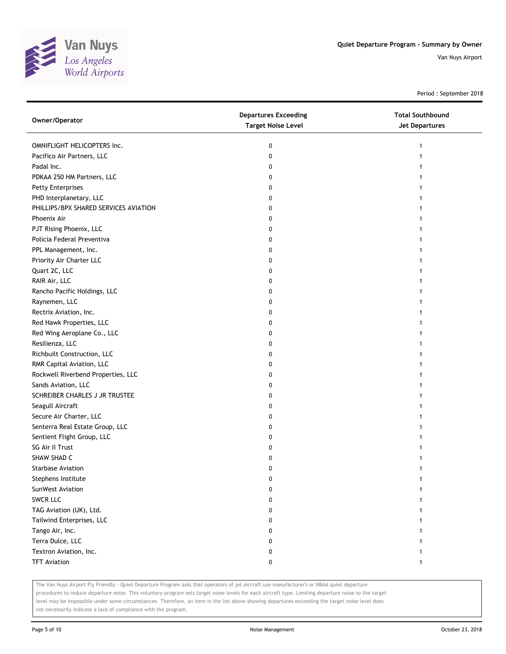

Period : September 2018

| Owner/Operator                        | <b>Departures Exceeding</b><br><b>Target Noise Level</b> | <b>Total Southbound</b><br><b>Jet Departures</b> |
|---------------------------------------|----------------------------------------------------------|--------------------------------------------------|
| OMNIFLIGHT HELICOPTERS Inc.           | 0                                                        | 1                                                |
| Pacifico Air Partners, LLC            | 0                                                        |                                                  |
| Padal Inc.                            | 0                                                        |                                                  |
| PDKAA 250 HM Partners, LLC            | 0                                                        |                                                  |
| <b>Petty Enterprises</b>              | 0                                                        |                                                  |
| PHD Interplanetary, LLC               | 0                                                        |                                                  |
| PHILLIPS/BPX SHARED SERVICES AVIATION | 0                                                        |                                                  |
| Phoenix Air                           | 0                                                        |                                                  |
| PJT Rising Phoenix, LLC               | 0                                                        |                                                  |
| Policia Federal Preventiva            | 0                                                        |                                                  |
| PPL Management, Inc.                  | 0                                                        |                                                  |
| Priority Air Charter LLC              | 0                                                        |                                                  |
| Quart 2C, LLC                         | 0                                                        |                                                  |
| RAIR Air, LLC                         | 0                                                        |                                                  |
| Rancho Pacific Holdings, LLC          | 0                                                        |                                                  |
| Raynemen, LLC                         | 0                                                        |                                                  |
| Rectrix Aviation, Inc.                | 0                                                        |                                                  |
| Red Hawk Properties, LLC              | 0                                                        |                                                  |
| Red Wing Aeroplane Co., LLC           | 0                                                        |                                                  |
| Resilienza, LLC                       | 0                                                        |                                                  |
| Richbuilt Construction, LLC           | 0                                                        |                                                  |
| RMR Capital Aviation, LLC             | 0                                                        |                                                  |
| Rockwell Riverbend Properties, LLC    | 0                                                        |                                                  |
| Sands Aviation, LLC                   | 0                                                        |                                                  |
| SCHREIBER CHARLES J JR TRUSTEE        | 0                                                        |                                                  |
| Seagull Aircraft                      | 0                                                        |                                                  |
| Secure Air Charter, LLC               | 0                                                        |                                                  |
| Senterra Real Estate Group, LLC       | 0                                                        |                                                  |
| Sentient Flight Group, LLC            | 0                                                        |                                                  |
| SG Air II Trust                       | 0                                                        |                                                  |
| SHAW SHAD C                           | 0                                                        |                                                  |
| <b>Starbase Aviation</b>              | 0                                                        | 1                                                |
| Stephens Institute                    | 0                                                        |                                                  |
| SunWest Aviation                      | 0                                                        |                                                  |
| <b>SWCR LLC</b>                       | 0                                                        |                                                  |
| TAG Aviation (UK), Ltd.               | 0                                                        |                                                  |
| Tailwind Enterprises, LLC             | 0                                                        |                                                  |
| Tango Air, Inc.                       | 0                                                        |                                                  |
| Terra Dulce, LLC                      | 0                                                        |                                                  |
| Textron Aviation, Inc.                | 0                                                        |                                                  |
| <b>TFT Aviation</b>                   | 0                                                        | 1                                                |

The Van Nuys Airport Fly Friendly - Quiet Departure Program asks that operators of jet aircraft use manufacturer's or NBAA quiet departure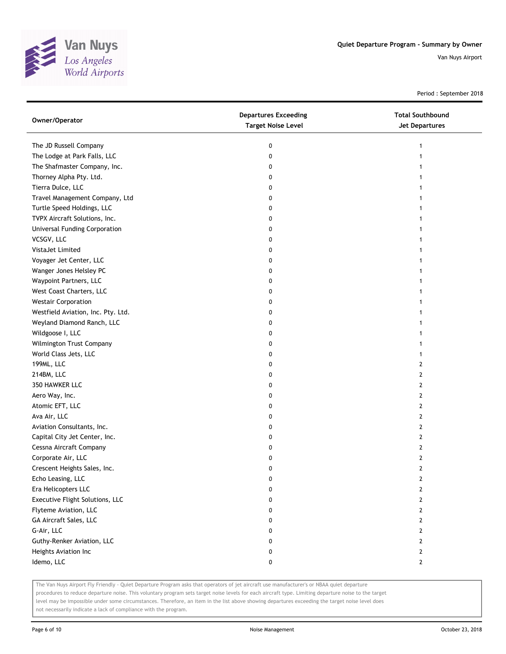

Period : September 2018

| Owner/Operator                       | <b>Departures Exceeding</b><br><b>Target Noise Level</b> | <b>Total Southbound</b><br>Jet Departures |
|--------------------------------------|----------------------------------------------------------|-------------------------------------------|
| The JD Russell Company               | 0                                                        | 1                                         |
| The Lodge at Park Falls, LLC         | 0                                                        |                                           |
| The Shafmaster Company, Inc.         | 0                                                        |                                           |
| Thorney Alpha Pty. Ltd.              | 0                                                        |                                           |
| Tierra Dulce, LLC                    | 0                                                        |                                           |
| Travel Management Company, Ltd       | 0                                                        | 1                                         |
| Turtle Speed Holdings, LLC           | 0                                                        |                                           |
| TVPX Aircraft Solutions, Inc.        | 0                                                        |                                           |
| <b>Universal Funding Corporation</b> | 0                                                        |                                           |
| VCSGV, LLC                           | 0                                                        |                                           |
| VistaJet Limited                     | 0                                                        |                                           |
| Voyager Jet Center, LLC              | 0                                                        |                                           |
| Wanger Jones Helsley PC              | 0                                                        |                                           |
| Waypoint Partners, LLC               | 0                                                        |                                           |
| West Coast Charters, LLC             | 0                                                        |                                           |
| <b>Westair Corporation</b>           | 0                                                        |                                           |
| Westfield Aviation, Inc. Pty. Ltd.   | 0                                                        |                                           |
| Weyland Diamond Ranch, LLC           | 0                                                        |                                           |
| Wildgoose I, LLC                     | 0                                                        |                                           |
| Wilmington Trust Company             | 0                                                        |                                           |
| World Class Jets, LLC                | 0                                                        |                                           |
| 199ML, LLC                           | 0                                                        | 2                                         |
| 214BM, LLC                           | 0                                                        | 2                                         |
| 350 HAWKER LLC                       | 0                                                        | 2                                         |
| Aero Way, Inc.                       | 0                                                        | 2                                         |
| Atomic EFT, LLC                      | 0                                                        | 2                                         |
| Ava Air, LLC                         | 0                                                        | 2                                         |
| Aviation Consultants, Inc.           | 0                                                        | 2                                         |
| Capital City Jet Center, Inc.        | 0                                                        | 2                                         |
| Cessna Aircraft Company              | 0                                                        | 2                                         |
| Corporate Air, LLC                   | 0                                                        | 2                                         |
| Crescent Heights Sales, Inc.         | 0                                                        | 2                                         |
| Echo Leasing, LLC                    | 0                                                        | 2                                         |
| Era Helicopters LLC                  | 0                                                        | 2                                         |
| Executive Flight Solutions, LLC      | 0                                                        | 2                                         |
| Flyteme Aviation, LLC                | 0                                                        | 2                                         |
| GA Aircraft Sales, LLC               | 0                                                        | 2                                         |
| G-Air, LLC                           | 0                                                        | 2                                         |
| Guthy-Renker Aviation, LLC           | 0                                                        | 2                                         |
| Heights Aviation Inc                 | 0                                                        | 2                                         |
| Idemo, LLC                           | 0                                                        | $\mathbf{2}$                              |

The Van Nuys Airport Fly Friendly - Quiet Departure Program asks that operators of jet aircraft use manufacturer's or NBAA quiet departure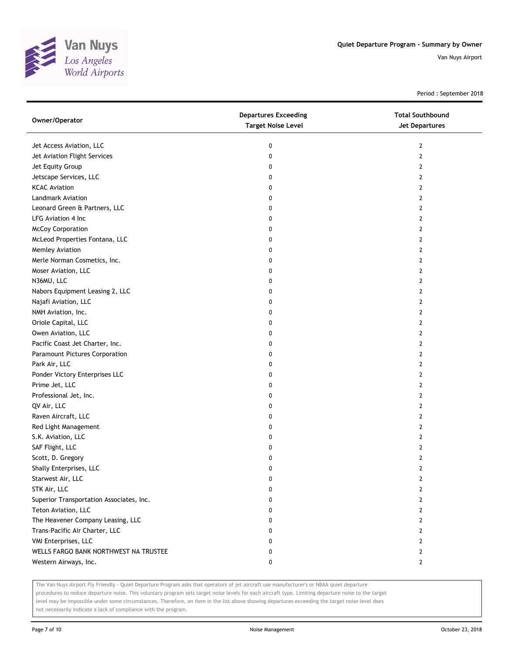

Period : September 2018

| Owner/Operator                           | <b>Departures Exceeding</b><br><b>Target Noise Level</b> | <b>Total Southbound</b><br>Jet Departures |
|------------------------------------------|----------------------------------------------------------|-------------------------------------------|
| Jet Access Aviation, LLC                 | 0                                                        | 2                                         |
| Jet Aviation Flight Services             | 0                                                        | $\mathbf{2}$                              |
| Jet Equity Group                         | 0                                                        | 2                                         |
| Jetscape Services, LLC                   | 0                                                        | $\overline{2}$                            |
| <b>KCAC Aviation</b>                     | 0                                                        | 2                                         |
| Landmark Aviation                        | 0                                                        | 2                                         |
| Leonard Green & Partners, LLC            | 0                                                        | 2                                         |
| LFG Aviation 4 Inc                       | 0                                                        | 2                                         |
| <b>McCoy Corporation</b>                 | 0                                                        | 2                                         |
| McLeod Properties Fontana, LLC           | 0                                                        | 2                                         |
| Memley Aviation                          | 0                                                        | 2                                         |
| Merle Norman Cosmetics, Inc.             | 0                                                        | 2                                         |
| Moser Aviation, LLC                      | 0                                                        | 2                                         |
| N36MU, LLC                               | 0                                                        | $\mathbf{2}$                              |
| Nabors Equipment Leasing 2, LLC          | 0                                                        | 2                                         |
| Najafi Aviation, LLC                     | 0                                                        | 2                                         |
| NMH Aviation, Inc.                       | 0                                                        | 2                                         |
| Oriole Capital, LLC                      | 0                                                        | 2                                         |
| Owen Aviation, LLC                       | 0                                                        | 2                                         |
| Pacific Coast Jet Charter, Inc.          | 0                                                        | 2                                         |
| Paramount Pictures Corporation           | 0                                                        | 2                                         |
| Park Air, LLC                            | 0                                                        | $\overline{2}$                            |
| Ponder Victory Enterprises LLC           | 0                                                        | 2                                         |
| Prime Jet, LLC                           | 0                                                        | $\overline{2}$                            |
| Professional Jet, Inc.                   | 0                                                        | 2                                         |
| QV Air, LLC                              | 0                                                        | 2                                         |
| Raven Aircraft, LLC                      | 0                                                        | $\mathbf{2}$                              |
| Red Light Management                     | 0                                                        | 2                                         |
| S.K. Aviation, LLC                       | 0                                                        | 2                                         |
| SAF Flight, LLC                          | 0                                                        | 2                                         |
| Scott, D. Gregory                        | 0                                                        | 2                                         |
| Shally Enterprises, LLC                  | 0                                                        | $\mathbf{2}$                              |
| Starwest Air, LLC                        | U                                                        | $\mathbf{z}$                              |
| STK Air, LLC                             | 0                                                        | 2                                         |
| Superior Transportation Associates, Inc. | 0                                                        | 2                                         |
| Teton Aviation, LLC                      | 0                                                        | 2                                         |
| The Heavener Company Leasing, LLC        | 0                                                        | 2                                         |
| Trans-Pacific Air Charter, LLC           | 0                                                        | 2                                         |
| VMI Enterprises, LLC                     | 0                                                        | 2                                         |
| WELLS FARGO BANK NORTHWEST NA TRUSTEE    | 0                                                        | 2                                         |
| Western Airways, Inc.                    | 0                                                        | $\mathbf{2}$                              |

The Van Nuys Airport Fly Friendly - Quiet Departure Program asks that operators of jet aircraft use manufacturer's or NBAA quiet departure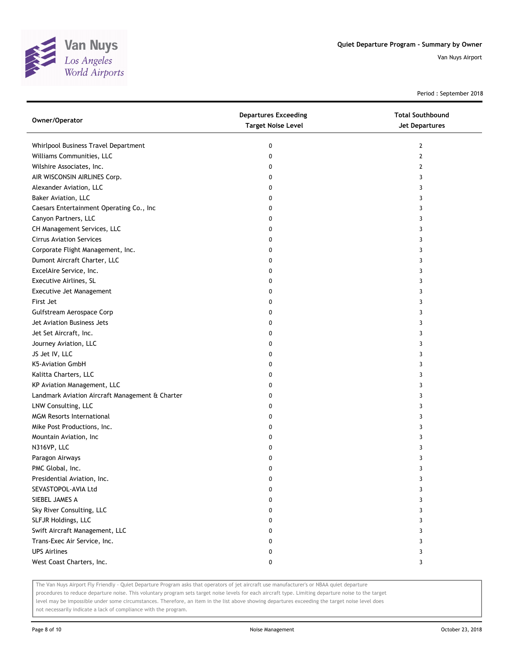

Period : September 2018

| Owner/Operator                                  | <b>Departures Exceeding</b><br><b>Target Noise Level</b> | <b>Total Southbound</b><br>Jet Departures |
|-------------------------------------------------|----------------------------------------------------------|-------------------------------------------|
| Whirlpool Business Travel Department            | 0                                                        | $\mathbf{2}$                              |
| Williams Communities, LLC                       | 0                                                        | 2                                         |
| Wilshire Associates, Inc.                       | 0                                                        | 2                                         |
| AIR WISCONSIN AIRLINES Corp.                    | 0                                                        | 3                                         |
| Alexander Aviation, LLC                         | 0                                                        | 3                                         |
| Baker Aviation, LLC                             | 0                                                        | 3                                         |
| Caesars Entertainment Operating Co., Inc        | 0                                                        | 3                                         |
| Canyon Partners, LLC                            | 0                                                        | 3                                         |
| CH Management Services, LLC                     | 0                                                        | 3                                         |
| <b>Cirrus Aviation Services</b>                 | 0                                                        | 3                                         |
| Corporate Flight Management, Inc.               | 0                                                        | 3                                         |
| Dumont Aircraft Charter, LLC                    | 0                                                        | 3                                         |
| ExcelAire Service, Inc.                         | 0                                                        | 3                                         |
| Executive Airlines, SL                          | 0                                                        | 3                                         |
| Executive Jet Management                        | 0                                                        | 3                                         |
| First Jet                                       | 0                                                        | 3                                         |
| Gulfstream Aerospace Corp                       | 0                                                        | 3                                         |
| Jet Aviation Business Jets                      | 0                                                        | 3                                         |
| Jet Set Aircraft, Inc.                          | 0                                                        | 3                                         |
| Journey Aviation, LLC                           | 0                                                        | 3                                         |
| JS Jet IV, LLC                                  | 0                                                        | 3                                         |
| K5-Aviation GmbH                                | 0                                                        | 3                                         |
| Kalitta Charters, LLC                           | 0                                                        | 3                                         |
| KP Aviation Management, LLC                     | 0                                                        | 3                                         |
| Landmark Aviation Aircraft Management & Charter | 0                                                        | 3                                         |
| LNW Consulting, LLC                             | 0                                                        | 3                                         |
| <b>MGM Resorts International</b>                | 0                                                        | 3                                         |
| Mike Post Productions, Inc.                     | 0                                                        | 3                                         |
| Mountain Aviation, Inc                          | 0                                                        | 3                                         |
| N316VP, LLC                                     | 0                                                        | 3                                         |
| Paragon Airways                                 | 0                                                        | 3                                         |
| PMC Global, Inc.                                | 0                                                        | 3                                         |
| Presidential Aviation, Inc.                     | U                                                        | 3                                         |
| SEVASTOPOL-AVIA Ltd                             | 0                                                        | 3                                         |
| SIEBEL JAMES A                                  | 0                                                        | 3                                         |
| Sky River Consulting, LLC                       | 0                                                        | 3                                         |
| SLFJR Holdings, LLC                             | 0                                                        | 3                                         |
| Swift Aircraft Management, LLC                  | 0                                                        | 3                                         |
| Trans-Exec Air Service, Inc.                    | 0                                                        | 3                                         |
| <b>UPS Airlines</b>                             | 0                                                        | 3                                         |
| West Coast Charters, Inc.                       | 0                                                        | 3                                         |

The Van Nuys Airport Fly Friendly - Quiet Departure Program asks that operators of jet aircraft use manufacturer's or NBAA quiet departure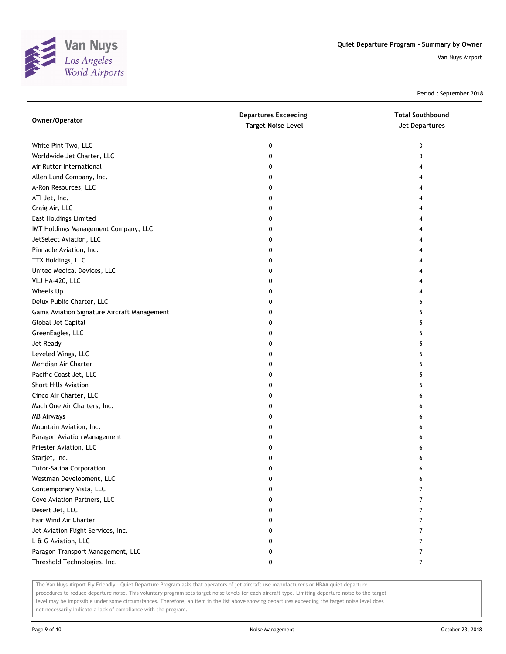

Period : September 2018

| Owner/Operator                              | <b>Departures Exceeding</b><br><b>Target Noise Level</b> | <b>Total Southbound</b><br>Jet Departures |
|---------------------------------------------|----------------------------------------------------------|-------------------------------------------|
| White Pint Two, LLC                         | 0                                                        | 3                                         |
| Worldwide Jet Charter, LLC                  | 0                                                        | 3                                         |
| Air Rutter International                    | 0                                                        | 4                                         |
| Allen Lund Company, Inc.                    | 0                                                        | 4                                         |
| A-Ron Resources, LLC                        | 0                                                        | 4                                         |
| ATI Jet, Inc.                               | 0                                                        | 4                                         |
| Craig Air, LLC                              | 0                                                        | 4                                         |
| <b>East Holdings Limited</b>                | 0                                                        | 4                                         |
| IMT Holdings Management Company, LLC        | 0                                                        | 4                                         |
| JetSelect Aviation, LLC                     | 0                                                        | 4                                         |
| Pinnacle Aviation, Inc.                     | 0                                                        | 4                                         |
| TTX Holdings, LLC                           | 0                                                        | 4                                         |
| United Medical Devices, LLC                 | 0                                                        | 4                                         |
| VLJ HA-420, LLC                             | 0                                                        | 4                                         |
| Wheels Up                                   | 0                                                        | 4                                         |
| Delux Public Charter, LLC                   | 0                                                        | 5                                         |
| Gama Aviation Signature Aircraft Management | 0                                                        | 5                                         |
| Global Jet Capital                          | 0                                                        | 5                                         |
| GreenEagles, LLC                            | 0                                                        | 5                                         |
| Jet Ready                                   | 0                                                        | 5                                         |
| Leveled Wings, LLC                          | 0                                                        | 5                                         |
| Meridian Air Charter                        | 0                                                        | 5                                         |
| Pacific Coast Jet, LLC                      | 0                                                        | 5                                         |
| <b>Short Hills Aviation</b>                 | 0                                                        | 5                                         |
| Cinco Air Charter, LLC                      | 0                                                        | 6                                         |
| Mach One Air Charters, Inc.                 | 0                                                        | 6                                         |
| <b>MB Airways</b>                           | 0                                                        | 6                                         |
| Mountain Aviation, Inc.                     | 0                                                        | 6                                         |
| Paragon Aviation Management                 | 0                                                        | 6                                         |
| Priester Aviation, LLC                      | 0                                                        | 6                                         |
| Starjet, Inc.                               | 0                                                        | 6                                         |
| Tutor-Saliba Corporation                    | 0                                                        | 6                                         |
| Westman Development, LLC                    | U                                                        | 6                                         |
| Contemporary Vista, LLC                     | 0                                                        | 7                                         |
| Cove Aviation Partners, LLC                 | 0                                                        | $\overline{7}$                            |
| Desert Jet, LLC                             | 0                                                        | 7                                         |
| Fair Wind Air Charter                       | 0                                                        | 7                                         |
| Jet Aviation Flight Services, Inc.          | 0                                                        | 7                                         |
| L & G Aviation, LLC                         | 0                                                        | $\overline{7}$                            |
| Paragon Transport Management, LLC           | 0                                                        | $\overline{7}$                            |
| Threshold Technologies, Inc.                | 0                                                        | $\overline{7}$                            |

The Van Nuys Airport Fly Friendly - Quiet Departure Program asks that operators of jet aircraft use manufacturer's or NBAA quiet departure